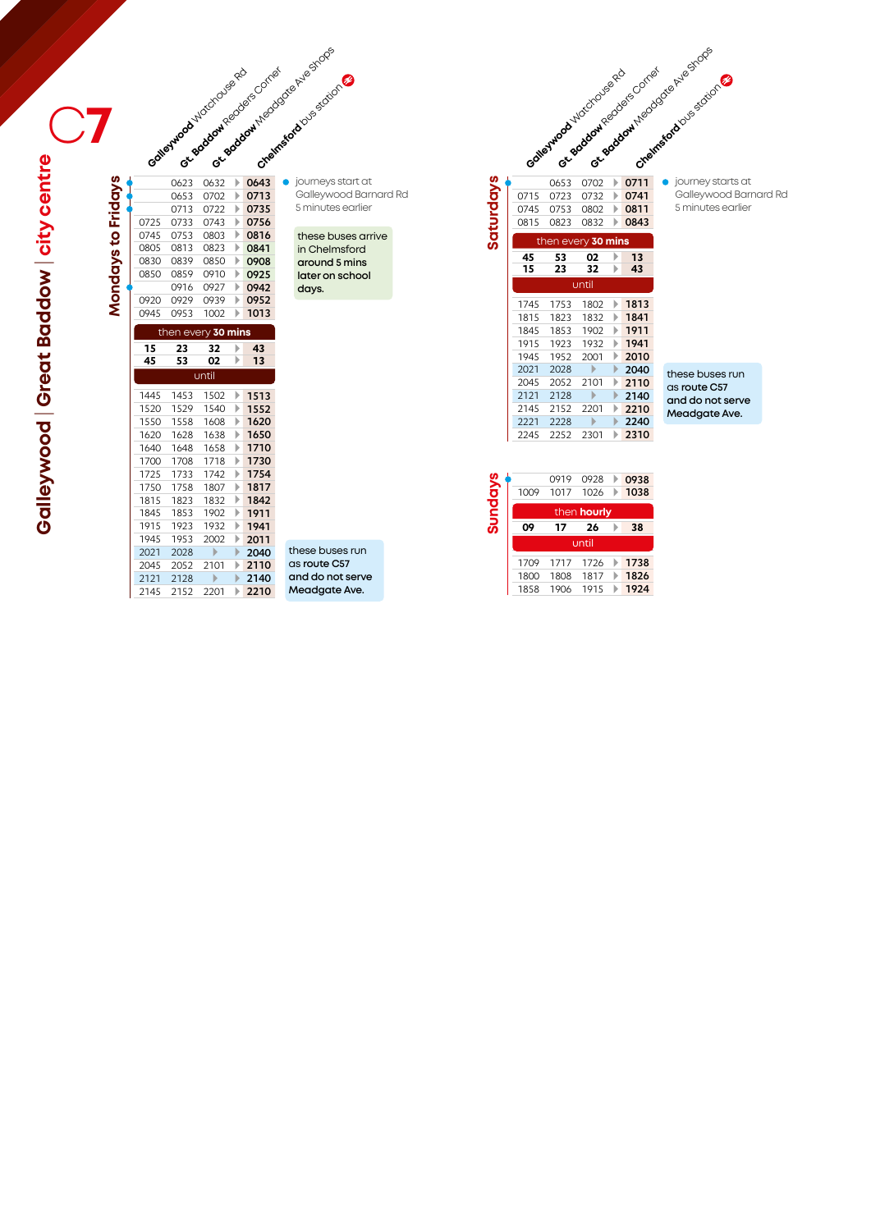|                    |              |              | edverwood vidcocouse red |        | or Bookowneedas Comes | or acabout Negotial Antarctic Stripe<br>Creamsdood Disastron |
|--------------------|--------------|--------------|--------------------------|--------|-----------------------|--------------------------------------------------------------|
|                    |              | 0623         | 0632                     | Þ      | 0643                  | journeys st                                                  |
|                    |              | 0653         | 0702                     | Þ      | 0713                  | Galleywoc                                                    |
|                    |              | 0713         | 0722                     | Þ      | 0735                  | 5 minutes                                                    |
| Mondays to Fridays | 0725         | 0733         | 0743                     | Þ      | 0756                  |                                                              |
|                    | 0745         | 0753         | 0803                     | Þ      | 0816                  | these bus                                                    |
|                    | 0805         | 0813         | 0823                     | Þ      | 0841                  | in Chelms                                                    |
|                    | 0830         | 0839         | 0850                     | Þ      | 0908                  | around 5                                                     |
|                    | 0850         | 0859         | 0910                     | Þ      | 0925                  | later on s                                                   |
|                    |              | 0916         | 0927                     | Þ      | 0942                  | days.                                                        |
|                    | 0920         | 0929         | 0939                     | Þ      | 0952                  |                                                              |
|                    | 0945         | 0953         | 1002                     | Þ      | 1013                  |                                                              |
|                    |              |              | then every 30 mins       |        |                       |                                                              |
|                    | 15           | 23           | 32                       | Þ      | 43                    |                                                              |
|                    | 45           | 53           | 02                       | Þ      | 13                    |                                                              |
|                    |              |              |                          |        |                       |                                                              |
|                    |              |              | until                    |        |                       |                                                              |
|                    | 1445         | 1453         | 1502                     | Þ      | 1513                  |                                                              |
|                    | 1520         | 1529         | 1540                     | Þ      | 1552                  |                                                              |
|                    | 1550         | 1558         | 1608                     | Þ      | 1620                  |                                                              |
|                    | 1620         | 1628         | 1638                     | Þ      | 1650                  |                                                              |
|                    | 1640         | 1648         | 1658                     | Þ      | 1710                  |                                                              |
|                    | 1700         | 1708         | 1718                     | Þ      | 1730                  |                                                              |
|                    | 1725         | 1733         | 1742                     | Þ      | 1754                  |                                                              |
|                    | 1750         | 1758         | 1807                     | Þ      | 1817                  |                                                              |
|                    | 1815         | 1823         | 1832                     | Þ      | 1842                  |                                                              |
|                    | 1845         | 1853         | 1902                     | Þ      | 1911                  |                                                              |
|                    | 1915         | 1923         | 1932                     | Þ      | 1941                  |                                                              |
|                    | 1945         | 1953         | 2002                     | Þ      | 2011                  |                                                              |
|                    | 2021         | 2028         | Þ                        | Þ      | 2040                  | these buses                                                  |
|                    | 2045         | 2052         | 2101                     | Þ      | 2110                  | as route C5                                                  |
|                    | 2121<br>2145 | 2128<br>2152 | Þ<br>2201                | ▶<br>Þ | 2140<br>2210          | and do not<br>Meadgate.                                      |

journeys start at Galleywood Barnard Rd 5 minutes earlier

## these buses arrive in Chelmsford **around 5 mins later on school days.**

| these buses run  |
|------------------|
| as route C57     |
| and do not serve |
| Meadgate Ave.    |

|           |              | Gatestroad Hidchaise Rc |              |              | or eactor regions contrat | or society theological Assistance<br>Creatised double stories |
|-----------|--------------|-------------------------|--------------|--------------|---------------------------|---------------------------------------------------------------|
| Saturdays | 0715         | 0653<br>0723            | 0702<br>0732 | Þ            | 0711                      | journey starts at<br>Galleywood Barr                          |
|           | 0745         | 0753                    | 0802         | Þ<br>Þ       | 0741<br>0811              | 5 minutes earlier                                             |
|           | 0815         | 0823                    | 0832         | ь            | 0843                      |                                                               |
|           |              | then every 30 mins      |              |              |                           |                                                               |
|           | 45           | 53                      | 02           | Þ            | 13                        |                                                               |
|           | 15           | 23                      | 32           | Þ            | 43                        |                                                               |
|           |              |                         | until        |              |                           |                                                               |
|           | 1745         | 1753                    | 1802         | Þ            | 1813                      |                                                               |
|           | 1815         | 1823                    | 1832         | ь            | 1841                      |                                                               |
|           | 1845         | 1853                    | 1902         | Þ            | 1911                      |                                                               |
|           | 1915         | 1923                    | 1932         | Þ            | 1941                      |                                                               |
|           | 1945         | 1952                    | 2001         | Þ            | 2010                      |                                                               |
|           | 2021         | 2028                    | ь            | $\mathbf{D}$ | 2040                      | these buses run                                               |
|           | 2045         | 2052                    | 2101         | Þ            | 2110                      | as route C57                                                  |
|           | 2121         | 2128                    | ь            | Þ            | 2140                      | and do not serve                                              |
|           | 2145<br>2221 | 2152<br>2228            | 2201<br>Þ    | ь<br>Þ       | 2210<br>2240              | Meadgate Ave.                                                 |
|           | 2245         | 2252                    | 2301         | Þ            | 2310                      |                                                               |
|           |              |                         |              |              |                           |                                                               |

Galleywood Barnard Rd 5 minutes earlier

| Sundays | 1009 | 0919<br>1017 | 0928<br>1026       | 0938<br>1038 |
|---------|------|--------------|--------------------|--------------|
|         |      |              | then <b>hourly</b> |              |
|         | 09   | 17           | 26                 | 38           |
|         |      |              | until              |              |
|         | 1709 | 1717         | 1726               | 1738         |
|         | 1800 | 1808         | 1817               | 1826         |
|         |      |              |                    |              |

**Galleywood** | **Great Baddow** | **city centre Calleywood | Great Baddow | city centre**